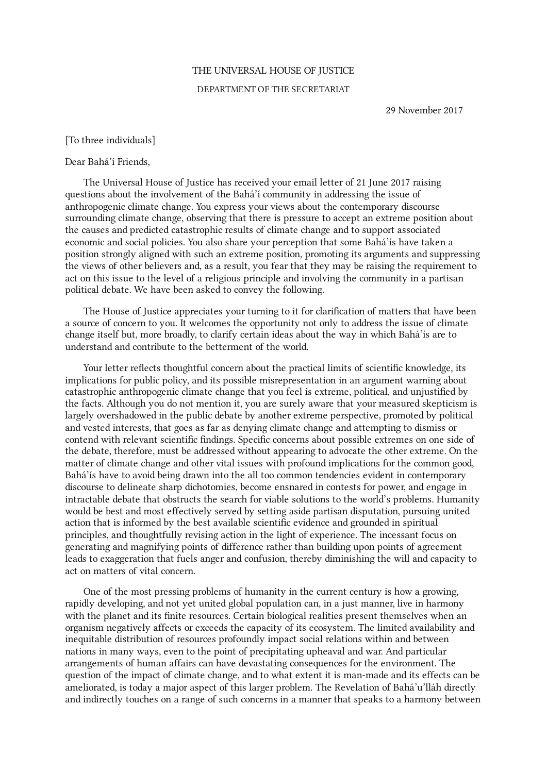## THE UNIVERSAL HOUSE OF JUSTICE

## DEPARTMENT OF THE SECRETARIAT

29 November 2017

[To three individuals]

## Dear Bahá'í Friends,

The Universal House of Justice has received your email letter of 21 June 2017 raising questions about the involvement of the Bahá'í community in addressing the issue of anthropogenic climate change. You express your views about the contemporary discourse surrounding climate change, observing that there is pressure to accept an extreme position about the causes and predicted catastrophic results of climate change and to support associated economic and social policies. You also share your perception that some Bahá'ís have taken a position strongly aligned with such an extreme position, promoting its arguments and suppressing the views of other believers and, as a result, you fear that they may be raising the requirement to act on this issue to the level of a religious principle and involving the community in a partisan political debate. We have been asked to convey the following.

The House of Justice appreciates your turning to it for clarification of matters that have been a source of concern to you. It welcomes the opportunity not only to address the issue of climate change itself but, more broadly, to clarify certain ideas about the way in which Bahá'ís are to understand and contribute to the betterment of the world.

Your letter reflects thoughtful concern about the practical limits of scientific knowledge, its implications for public policy, and its possible misrepresentation in an argument warning about catastrophic anthropogenic climate change that you feel is extreme, political, and unjustified by the facts. Although you do not mention it, you are surely aware that your measured skepticism is largely overshadowed in the public debate by another extreme perspective, promoted by political and vested interests, that goes as far as denying climate change and attempting to dismiss or contend with relevant scientific findings. Specific concerns about possible extremes on one side of the debate, therefore, must be addressed without appearing to advocate the other extreme. On the matter of climate change and other vital issues with profound implications for the common good, Bahá'ís have to avoid being drawn into the all too common tendencies evident in contemporary discourse to delineate sharp dichotomies, become ensnared in contests for power, and engage in intractable debate that obstructs the search for viable solutions to the world's problems. Humanity would be best and most effectively served by setting aside partisan disputation, pursuing united action that is informed by the best available scientific evidence and grounded in spiritual principles, and thoughtfully revising action in the light of experience. The incessant focus on generating and magnifying points of difference rather than building upon points of agreement leads to exaggeration that fuels anger and confusion, thereby diminishing the will and capacity to act on matters of vital concern.

One of the most pressing problems of humanity in the current century is how a growing, rapidly developing, and not yet united global population can, in a just manner, live in harmony with the planet and its finite resources. Certain biological realities present themselves when an organism negatively affects or exceeds the capacity of its ecosystem. The limited availability and inequitable distribution of resources profoundly impact social relations within and between nations in many ways, even to the point of precipitating upheaval and war. And particular arrangements of human affairs can have devastating consequences for the environment. The question of the impact of climate change, and to what extent it is man-made and its effects can be ameliorated, is today a major aspect of this larger problem. The Revelation of Bahá'u'lláh directly and indirectly touches on a range of such concerns in a manner that speaks to a harmony between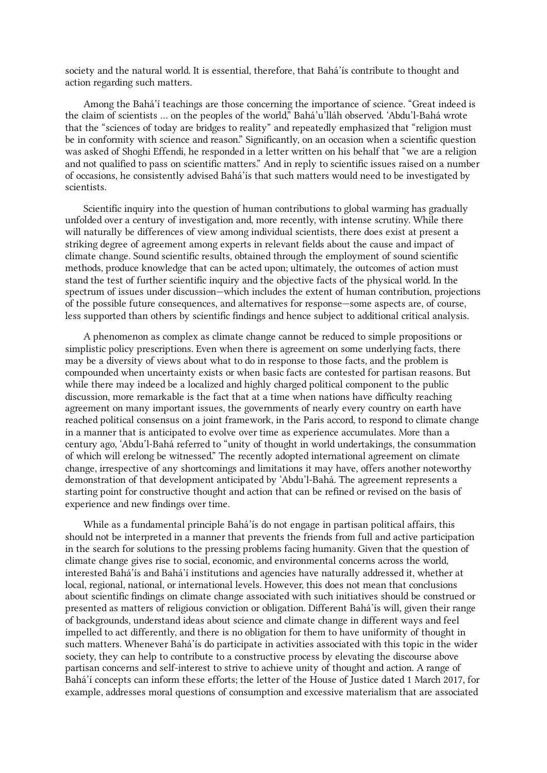society and the natural world. It is essential, therefore, that Bahá'ís contribute to thought and action regarding such matters.

Among the Bahá'í teachings are those concerning the importance of science. "Great indeed is the claim of scientists ... on the peoples of the world," Bahá'u'lláh observed. 'Abdu'l-Bahá wrote that the "sciences of today are bridges to reality" and repeatedly emphasized that "religion must be in conformity with science and reason." Significantly, on an occasion when a scientific question was asked of Shoghi Effendi, he responded in a letter written on his behalf that "we are a religion and not qualified to pass on scientific matters." And in reply to scientific issues raised on a number of occasions, he consistently advised Bahá'ís that such matters would need to be investigated by scientists.

Scientific inquiry into the question of human contributions to global warming has gradually unfolded over a century of investigation and, more recently, with intense scrutiny. While there will naturally be differences of view among individual scientists, there does exist at present a striking degree of agreement among experts in relevant fields about the cause and impact of climate change. Sound scientific results, obtained through the employment of sound scientific methods, produce knowledge that can be acted upon; ultimately, the outcomes of action must stand the test of further scientific inquiry and the objective facts of the physical world. In the spectrum of issues under discussion—which includes the extent of human contribution, projections of the possible future consequences, and alternatives for response—some aspects are, of course, less supported than others by scientific findings and hence subject to additional critical analysis.

A phenomenon as complex as climate change cannot be reduced to simple propositions or simplistic policy prescriptions. Even when there is agreement on some underlying facts, there may be a diversity of views about what to do in response to those facts, and the problem is compounded when uncertainty exists or when basic facts are contested for partisan reasons. But while there may indeed be a localized and highly charged political component to the public discussion, more remarkable is the fact that at a time when nations have difficulty reaching agreement on many important issues, the governments of nearly every country on earth have reached political consensus on a joint framework, in the Paris accord, to respond to climate change in a manner that is anticipated to evolve over time as experience accumulates. More than a century ago, 'Abdu'l‑Bahá referred to "unity of thought in world undertakings, the consummation of which will erelong be witnessed." The recently adopted international agreement on climate change, irrespective of any shortcomings and limitations it may have, offers another noteworthy demonstration of that development anticipated by 'Abdu'l-Bahá. The agreement represents a starting point for constructive thought and action that can be refined or revised on the basis of experience and new findings over time.

While as a fundamental principle Bahá'ís do not engage in partisan political affairs, this should not be interpreted in a manner that prevents the friends from full and active participation in the search for solutions to the pressing problems facing humanity. Given that the question of climate change gives rise to social, economic, and environmental concerns across the world, interested Bahá'ís and Bahá'í institutions and agencies have naturally addressed it, whether at local, regional, national, or international levels. However, this does not mean that conclusions about scientific findings on climate change associated with such initiatives should be construed or presented as matters of religious conviction or obligation. Different Bahá'ís will, given their range of backgrounds, understand ideas about science and climate change in different ways and feel impelled to act differently, and there is no obligation for them to have uniformity of thought in such matters. Whenever Bahá'ís do participate in activities associated with this topic in the wider society, they can help to contribute to a constructive process by elevating the discourse above partisan concerns and self-interest to strive to achieve unity of thought and action. A range of Bahá'í concepts can inform these efforts; the letter of the House of Justice dated 1 March 2017, for example, addresses moral questions of consumption and excessive materialism that are associated